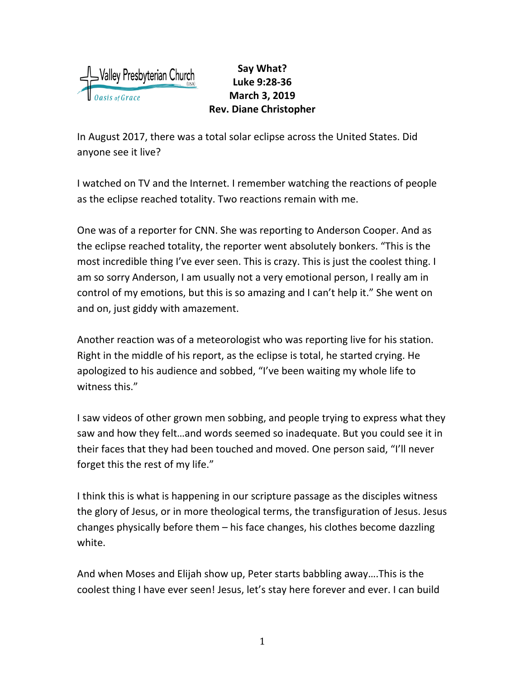

## **Say What? Luke 9:28-36 March 3, 2019 Rev. Diane Christopher**

In August 2017, there was a total solar eclipse across the United States. Did anyone see it live?

I watched on TV and the Internet. I remember watching the reactions of people as the eclipse reached totality. Two reactions remain with me.

One was of a reporter for CNN. She was reporting to Anderson Cooper. And as the eclipse reached totality, the reporter went absolutely bonkers. "This is the most incredible thing I've ever seen. This is crazy. This is just the coolest thing. I am so sorry Anderson, I am usually not a very emotional person, I really am in control of my emotions, but this is so amazing and I can't help it." She went on and on, just giddy with amazement.

Another reaction was of a meteorologist who was reporting live for his station. Right in the middle of his report, as the eclipse is total, he started crying. He apologized to his audience and sobbed, "I've been waiting my whole life to witness this."

I saw videos of other grown men sobbing, and people trying to express what they saw and how they felt…and words seemed so inadequate. But you could see it in their faces that they had been touched and moved. One person said, "I'll never forget this the rest of my life."

I think this is what is happening in our scripture passage as the disciples witness the glory of Jesus, or in more theological terms, the transfiguration of Jesus. Jesus changes physically before them – his face changes, his clothes become dazzling white.

And when Moses and Elijah show up, Peter starts babbling away….This is the coolest thing I have ever seen! Jesus, let's stay here forever and ever. I can build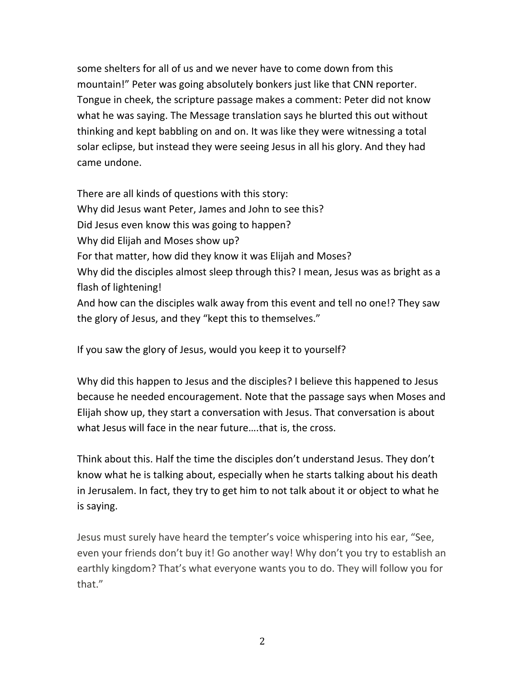some shelters for all of us and we never have to come down from this mountain!" Peter was going absolutely bonkers just like that CNN reporter. Tongue in cheek, the scripture passage makes a comment: Peter did not know what he was saying. The Message translation says he blurted this out without thinking and kept babbling on and on. It was like they were witnessing a total solar eclipse, but instead they were seeing Jesus in all his glory. And they had came undone.

There are all kinds of questions with this story: Why did Jesus want Peter, James and John to see this? Did Jesus even know this was going to happen? Why did Elijah and Moses show up? For that matter, how did they know it was Elijah and Moses? Why did the disciples almost sleep through this? I mean, Jesus was as bright as a flash of lightening! And how can the disciples walk away from this event and tell no one!? They saw the glory of Jesus, and they "kept this to themselves."

If you saw the glory of Jesus, would you keep it to yourself?

Why did this happen to Jesus and the disciples? I believe this happened to Jesus because he needed encouragement. Note that the passage says when Moses and Elijah show up, they start a conversation with Jesus. That conversation is about what Jesus will face in the near future….that is, the cross.

Think about this. Half the time the disciples don't understand Jesus. They don't know what he is talking about, especially when he starts talking about his death in Jerusalem. In fact, they try to get him to not talk about it or object to what he is saying.

Jesus must surely have heard the tempter's voice whispering into his ear, "See, even your friends don't buy it! Go another way! Why don't you try to establish an earthly kingdom? That's what everyone wants you to do. They will follow you for that."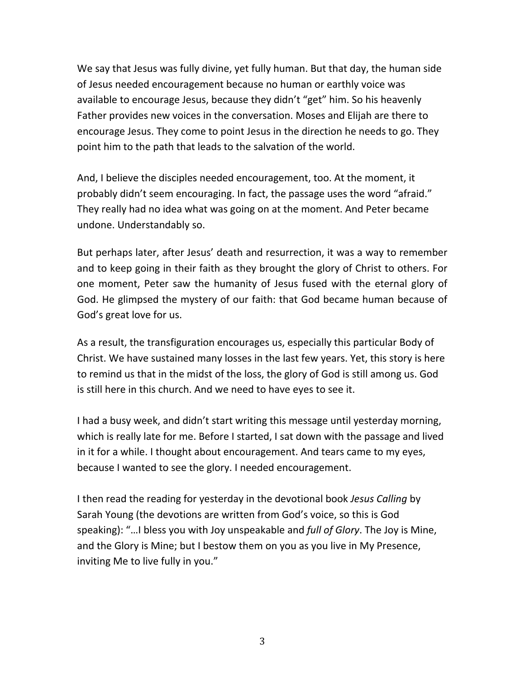We say that Jesus was fully divine, yet fully human. But that day, the human side of Jesus needed encouragement because no human or earthly voice was available to encourage Jesus, because they didn't "get" him. So his heavenly Father provides new voices in the conversation. Moses and Elijah are there to encourage Jesus. They come to point Jesus in the direction he needs to go. They point him to the path that leads to the salvation of the world.

And, I believe the disciples needed encouragement, too. At the moment, it probably didn't seem encouraging. In fact, the passage uses the word "afraid." They really had no idea what was going on at the moment. And Peter became undone. Understandably so.

But perhaps later, after Jesus' death and resurrection, it was a way to remember and to keep going in their faith as they brought the glory of Christ to others. For one moment, Peter saw the humanity of Jesus fused with the eternal glory of God. He glimpsed the mystery of our faith: that God became human because of God's great love for us.

As a result, the transfiguration encourages us, especially this particular Body of Christ. We have sustained many losses in the last few years. Yet, this story is here to remind us that in the midst of the loss, the glory of God is still among us. God is still here in this church. And we need to have eyes to see it.

I had a busy week, and didn't start writing this message until yesterday morning, which is really late for me. Before I started, I sat down with the passage and lived in it for a while. I thought about encouragement. And tears came to my eyes, because I wanted to see the glory. I needed encouragement.

I then read the reading for yesterday in the devotional book *Jesus Calling* by Sarah Young (the devotions are written from God's voice, so this is God speaking): "…I bless you with Joy unspeakable and *full of Glory*. The Joy is Mine, and the Glory is Mine; but I bestow them on you as you live in My Presence, inviting Me to live fully in you."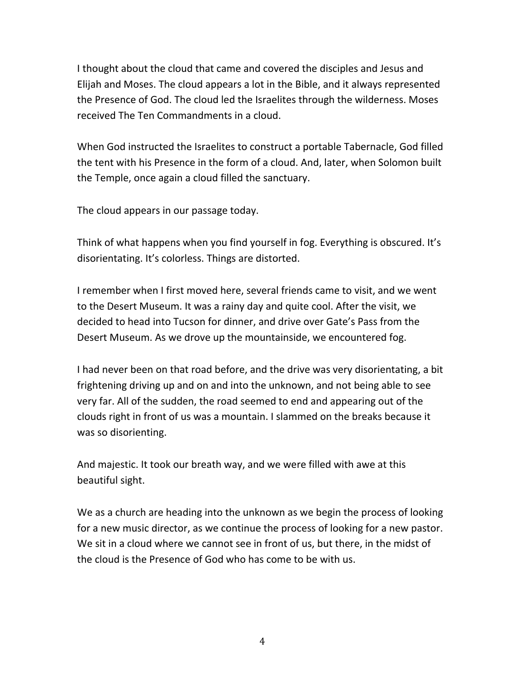I thought about the cloud that came and covered the disciples and Jesus and Elijah and Moses. The cloud appears a lot in the Bible, and it always represented the Presence of God. The cloud led the Israelites through the wilderness. Moses received The Ten Commandments in a cloud.

When God instructed the Israelites to construct a portable Tabernacle, God filled the tent with his Presence in the form of a cloud. And, later, when Solomon built the Temple, once again a cloud filled the sanctuary.

The cloud appears in our passage today.

Think of what happens when you find yourself in fog. Everything is obscured. It's disorientating. It's colorless. Things are distorted.

I remember when I first moved here, several friends came to visit, and we went to the Desert Museum. It was a rainy day and quite cool. After the visit, we decided to head into Tucson for dinner, and drive over Gate's Pass from the Desert Museum. As we drove up the mountainside, we encountered fog.

I had never been on that road before, and the drive was very disorientating, a bit frightening driving up and on and into the unknown, and not being able to see very far. All of the sudden, the road seemed to end and appearing out of the clouds right in front of us was a mountain. I slammed on the breaks because it was so disorienting.

And majestic. It took our breath way, and we were filled with awe at this beautiful sight.

We as a church are heading into the unknown as we begin the process of looking for a new music director, as we continue the process of looking for a new pastor. We sit in a cloud where we cannot see in front of us, but there, in the midst of the cloud is the Presence of God who has come to be with us.